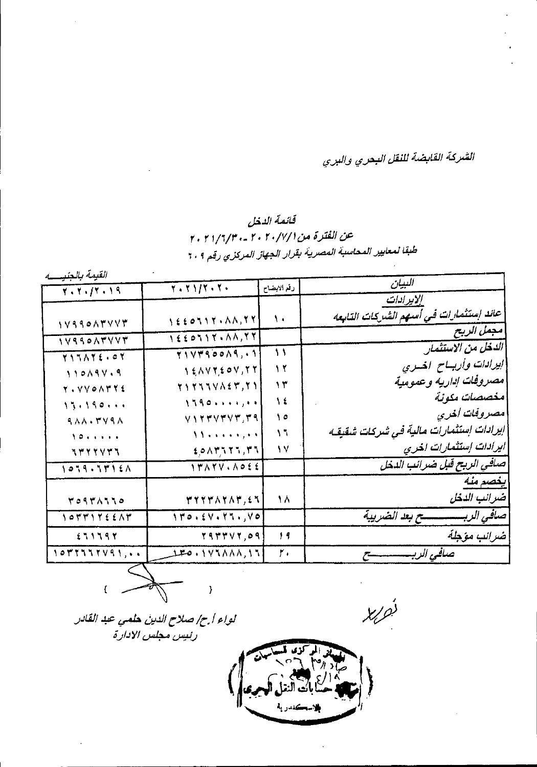الشركة القابضة للنقل البحري والبري

## قائمة الدخل عن الفترة من ٢٠/٧/١/١٠ -٢٠/٢/٢/٢٠ طبقًا لمعايير المحاسبة المصرية بقرار الجهاز المركزي رقم ٢٠٩

القيمة بالعنب له

| المسجد الجاهيليين |                                                                                                                                                                                               |                          | البيان                                 |
|-------------------|-----------------------------------------------------------------------------------------------------------------------------------------------------------------------------------------------|--------------------------|----------------------------------------|
| $Y - Y - fY - 19$ | 7.71/7.7.                                                                                                                                                                                     | رنع الايضاح              |                                        |
|                   |                                                                                                                                                                                               |                          | إلايرادات                              |
| 1V990ATVVT        | $\left\{ \frac{1}{2}$ $\frac{1}{2}$ $\frac{1}{2}$ $\frac{1}{2}$ $\frac{1}{2}$ $\frac{1}{2}$ $\frac{1}{2}$ $\frac{1}{2}$ $\frac{1}{2}$ $\frac{1}{2}$ $\frac{1}{2}$ $\frac{1}{2}$ $\frac{1}{2}$ | ١.                       | عائد إستثمارات في أسهم الشركات التابعه |
| 1VSSOATVVT        | IEEOTIT.AA,TT                                                                                                                                                                                 |                          | مجمل الريح                             |
| YITAYE.OY         | TIVTSOONS,.1                                                                                                                                                                                  | $\overline{\phantom{a}}$ | الدخل من الاستثمار                     |
| 110194.9          | $\gamma \notin \wedge \vee \forall f \in \Phi \vee f \vee f$                                                                                                                                  | 12                       | ايرادات وأريساح المسري                 |
| Y. VVOATYE        | TITTIVAET, II                                                                                                                                                                                 | ۱۳                       | مصروفات إداريه وعمومية                 |
| 13.190            | 1790                                                                                                                                                                                          | ١٤                       | مخصصات مكونة                           |
| <b>AAA. ٣٧٩٨</b>  | VITTVTVT, TA                                                                                                                                                                                  | $\uparrow$ 0             | مصروفات اخرى                           |
| 1011111           | $\{ \mathcal{N} \}$ is a set of $\mathcal{N}$                                                                                                                                                 | $\mathcal{N}$            | إيرادات إستثمارات مالية في شركات شقيقه |
| <b>TTYYYT1</b>    | EPAMATA, MA                                                                                                                                                                                   | ١٧                       | ایرادات إستثمارات اخری                 |
| 1039.5715A        | I FAYV. ADEE                                                                                                                                                                                  |                          | صلفي الربح قبل ضرائب الدخل             |
|                   |                                                                                                                                                                                               |                          | يغصم مئه                               |
| 70971110          | ٣٢٢٣٨٢٨٣,٤٦                                                                                                                                                                                   | ١٨                       | ضرانب الدخل                            |
| 1022126682        | 110.54.11.70                                                                                                                                                                                  |                          |                                        |
| £71797            | YATTVY, 09                                                                                                                                                                                    | 14                       | ضرانب مؤجلة                            |
| ۰۰, ۱۵۳۲۶۶۲/۹۱    | 170.175888.13                                                                                                                                                                                 | ٢.                       | صافى الربيسيسيسيسي                     |
|                   |                                                                                                                                                                                               |                          |                                        |

 $\begin{picture}(120,17) \put(15,15){\line(1,0){155}} \put(15,15){\line(1,0){155}} \put(15,15){\line(1,0){155}} \put(15,15){\line(1,0){155}} \put(15,15){\line(1,0){155}} \put(15,15){\line(1,0){155}} \put(15,15){\line(1,0){155}} \put(15,15){\line(1,0){155}} \put(15,15){\line(1,0){155}} \put(15,15){\line(1,0){155}} \put(15,15$ 

**X** job

لواء أبرح صلاح الدين حلمي عبد القادر رئييس مجلس الادارة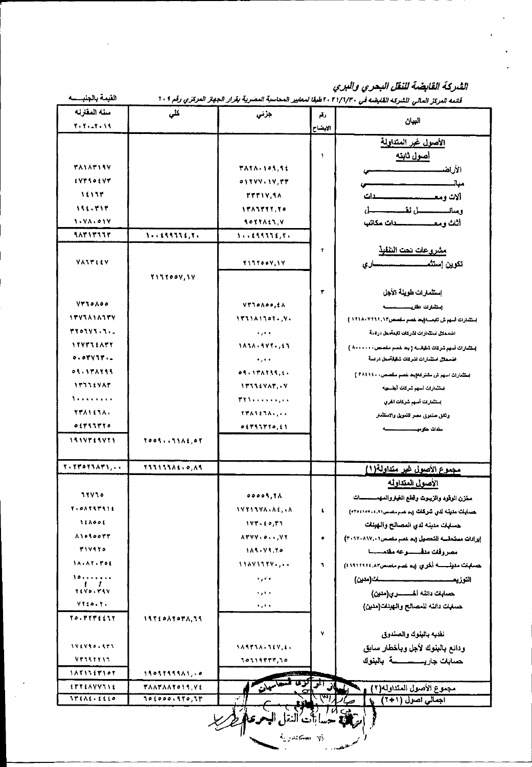الثيركة القابضة للنقل البحري والبري

 $\mathcal{L}_{\mathcal{A}}$ 

 $\mathbf{r}$ 

| القيمة بالجنيسسه            |                      |                                 |                       | قلتمه المركز المالي للشركة القابضة في ٢٠٢/٦/٣٠ اطبقا لمعايير المحاسبة المصرية بقرار الجهاز المركزي رقم ٢٠٩ |
|-----------------------------|----------------------|---------------------------------|-----------------------|------------------------------------------------------------------------------------------------------------|
| سنه العقارئه                | كلى                  | جزنى                            | رقم                   |                                                                                                            |
| $Y - Y - Y - 14$            |                      |                                 | الايضاح               | البيان                                                                                                     |
|                             |                      |                                 |                       | الأصول غرر المتداولة                                                                                       |
|                             |                      |                                 | ٦                     | <u>اصول نابنه</u>                                                                                          |
| <b>TAIATISY</b>             |                      | <b>TATA-105.56</b>              |                       | الأرا <del>ميسيسيسي</del>                                                                                  |
| EVTSOEVT                    |                      | 0.344.19.77                     |                       | مبال                                                                                                       |
| 16137                       |                      | <b>TTTIV, IA</b>                |                       | آلات ومعسسسسسسسدات                                                                                         |
| 111.717                     |                      | <b><i>IFAITTY, YO</i></b>       |                       | ومعانسيسسطى تقسيستنسط                                                                                      |
| 10780917                    |                      | <b>SOTTAIN V</b>                |                       | أثاث ومعسسسسسسدات مكاتب                                                                                    |
| 18717777                    |                      | 1.1111111777777                 |                       |                                                                                                            |
|                             |                      |                                 | T                     | <u>مشروعات نحت النفلية</u>                                                                                 |
| VATTIEV                     |                      | Y I TYOOV; I V                  |                       | تكوين إستثمــــــــــــــــــــاري                                                                         |
|                             | <b>TITTOOV, IV</b>   |                                 |                       |                                                                                                            |
|                             |                      |                                 | ۳                     | إستثمارات طويلة الأجل                                                                                      |
| VTJOAOO                     |                      | VTLOADD,IA                      |                       | استثماراته طاريسسيسسمه                                                                                     |
| <b><i>ITVIAIAITV</i></b>    |                      | ١٣٦١٨١٦٥٢٠,٧٠                   |                       |                                                                                                            |
| <b><i>TYOLYS.S.L</i></b>    |                      | $\mathbf{A}$ , and $\mathbf{A}$ |                       | اصمحان استثمارات لشركات تتبعه هل درسة                                                                      |
| 197931APY                   |                      | 1858-197-155                    |                       | إستثمارات أسهم شركات شقيقت ( يعا خصم مغصص، ١٠٠٠٠٠ )                                                        |
| 0.01111                     |                      | $\bullet$ , $\bullet$ $\bullet$ |                       | اضمعلال استثمارات لشركات شكيلةمعل دراسة                                                                    |
| 01.117111                   |                      | 0.51177777774.4                 |                       | إستثمارات النهم ش مشتركة(يعد خصم مكعلس) + Thill }                                                          |
| <b>ITTLEVAT</b>             |                      | <b>ITTIEYAT . V</b>             |                       | فيتثمارات أسهم شركات أجلسهه                                                                                |
| 1.                          |                      | <b>TIA</b>                      |                       | إستثمارات أسهع شركات الحري                                                                                 |
| <b>TTAIETA.</b>             |                      | <b>TTASENAL, </b>               |                       | وثقق ستنوى مصر للتمويل والاستثمار                                                                          |
| つくどくてどその                    |                      | 0.5199770, 11                   |                       | مقات حترمي سمسمه                                                                                           |
| 1914269421                  | TO05  11A£,07        |                                 |                       |                                                                                                            |
| $X \cdot Y Y 0 Y 1 A Y 1, $ | <b>T33133A6+0,85</b> |                                 |                       | <u>مجموع الأصول غير متداولة(١)</u>                                                                         |
|                             |                      |                                 |                       | الأصول العتداوله                                                                                           |
| <b>11410</b>                |                      | <b>PODOS YA</b>                 |                       | مغزن الوقود والزيبوت وقطع الغياروالمهمسسسات                                                                |
| <b>T+08757516</b>           |                      | <b>IYYIIVA-AE, LA</b>           | $\bullet$             | ھىيايات مەيئە لەي شركات زىم سىر مەسى (٩٢٠٤١٠٢٠)                                                            |
| <b>SACOS</b>                |                      | <b>۱۷۳۰٤٥,۴٦</b>                |                       | حسابات منبئه لدي المصالح والهبنات                                                                          |
| <b>A10500TT</b>             |                      | ATYY, 0.1, YY                   | ۰                     | إيرادات مستحقسه التحصيل إبد عسم مغسس ٢٠١٧٠٨١٧,٠١                                                           |
| <b>TIVATO</b>               |                      | 184.74.20                       |                       | مصروفات منفسسوعه مقتمسيسا                                                                                  |
| <b>IA.AT. FOL</b>           |                      | 11871117                        | ٦                     |                                                                                                            |
| 10                          |                      | $\mathbf{r} \cdot \mathbf{r}$ . |                       |                                                                                                            |
| TEVOLYSY                    |                      | والقرارة                        |                       |                                                                                                            |
| YYto.y.                     |                      | $\mathbf{h} \in \mathbb{R}$ is  |                       | حسلبات داننه للمصالح والهبلات(منين)                                                                        |
| TO . MYMEE11                | 1971087078,79        |                                 |                       |                                                                                                            |
|                             |                      |                                 | Y                     | نفديه بالبنوك والصندوقي                                                                                    |
| 171750.573                  |                      | <b>SANTIALIEV,EL</b>            |                       | ودائع بالبنوك لأجل وباخطار سابق                                                                            |
| 77747717                    |                      | ٦٥٦١٩٢٢٢,٦٥                     |                       | حسابات جاريســـــــــــــــه بالبنوك                                                                       |
| 1881167101                  | 1909899981,10        |                                 |                       |                                                                                                            |
| <b>ETTEAVVIIE</b>           | <b>*************</b> |                                 |                       | مجموع الأصول المتداوله(٢) ۾ فا                                                                             |
| <b>Arial.ille</b>           | 100000.170, 17       |                                 |                       | اجمالي اصول (٢٠١)۔ 6                                                                                       |
|                             |                      | ينقل الميحوى                    | بالراء المستجملان يأه | ا الی                                                                                                      |